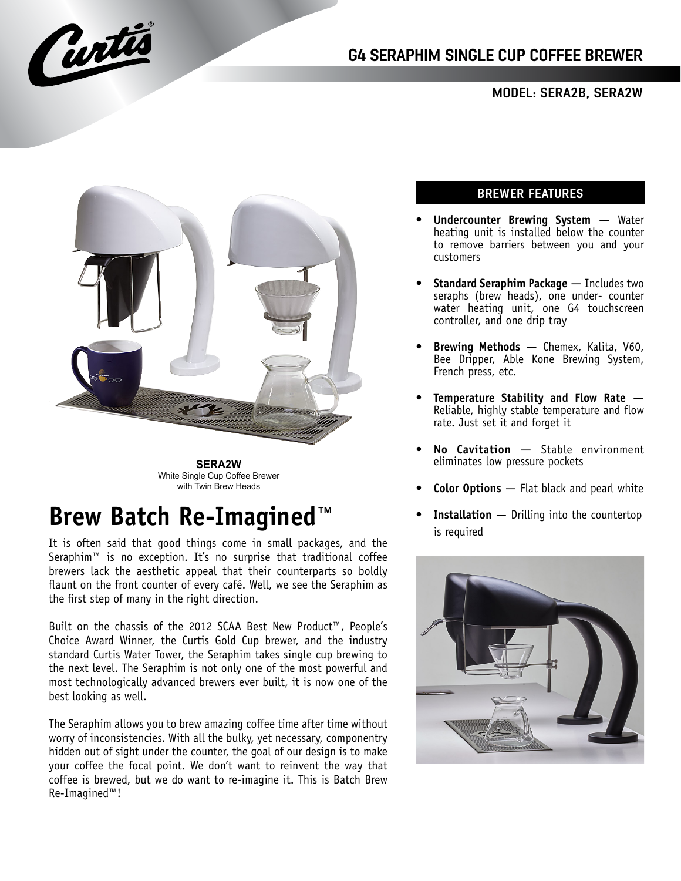

## MODEL: SERA2B, SERA2W



**SERA2W** White Single Cup Coffee Brewer with Twin Brew Heads

# **Brew Batch Re-Imagined**™

It is often said that good things come in small packages, and the Seraphim™ is no exception. It's no surprise that traditional coffee brewers lack the aesthetic appeal that their counterparts so boldly flaunt on the front counter of every café. Well, we see the Seraphim as the first step of many in the right direction.

Built on the chassis of the 2012 SCAA Best New Product™, People's Choice Award Winner, the Curtis Gold Cup brewer, and the industry standard Curtis Water Tower, the Seraphim takes single cup brewing to the next level. The Seraphim is not only one of the most powerful and most technologically advanced brewers ever built, it is now one of the best looking as well.

The Seraphim allows you to brew amazing coffee time after time without worry of inconsistencies. With all the bulky, yet necessary, componentry hidden out of sight under the counter, the goal of our design is to make your coffee the focal point. We don't want to reinvent the way that coffee is brewed, but we do want to re-imagine it. This is Batch Brew Re-Imagined™!

## BREWER FEATURES

- **Undercounter Brewing System** ― Water heating unit is installed below the counter to remove barriers between you and your customers
- **Standard Seraphim Package** Includes two seraphs (brew heads), one under- counter water heating unit, one G4 touchscreen controller, and one drip tray
- **Brewing Methods** ― Chemex, Kalita, V60, Bee Dripper, Able Kone Brewing System, French press, etc.
- **Temperature Stability and Flow Rate** ― Reliable, highly stable temperature and flow rate. Just set it and forget it
- **No Cavitation** ― Stable environment eliminates low pressure pockets
- **Color Options** ― Flat black and pearl white
- **Installation** Drilling into the countertop is required